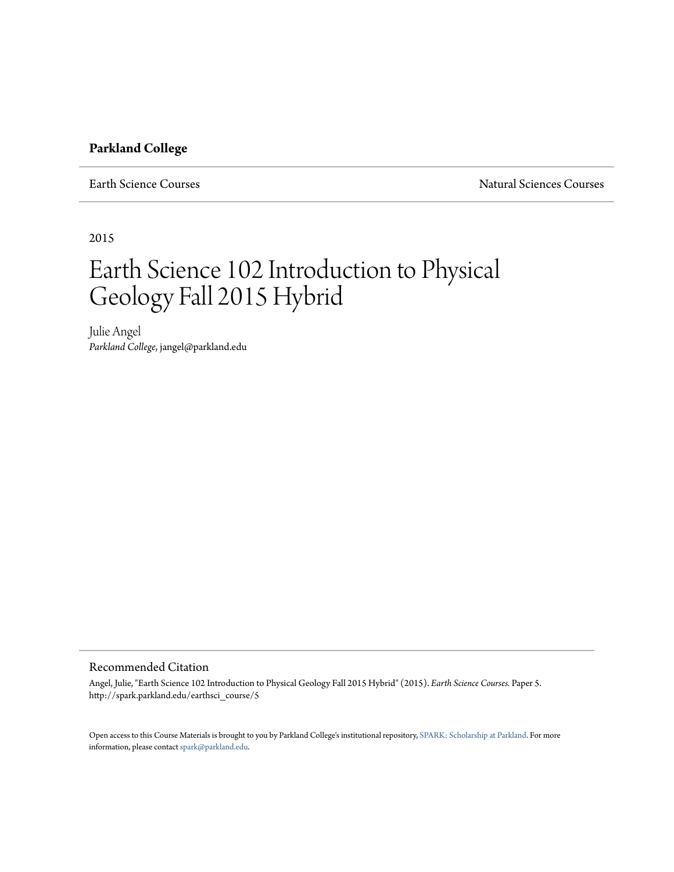# **Parkland College**

Earth Science Courses Natural Sciences Courses

2015

# Earth Science 102 Introduction to Physical Geology Fall 2015 Hybrid

Julie Angel *Parkland College*, jangel@parkland.edu

# Recommended Citation

Angel, Julie, "Earth Science 102 Introduction to Physical Geology Fall 2015 Hybrid" (2015). *Earth Science Courses.* Paper 5. http://spark.parkland.edu/earthsci\_course/5

Open access to this Course Materials is brought to you by Parkland College's institutional repository, [SPARK: Scholarship at Parkland](http://spark.parkland.edu/). For more information, please contact [spark@parkland.edu](mailto:spark@parkland.edu).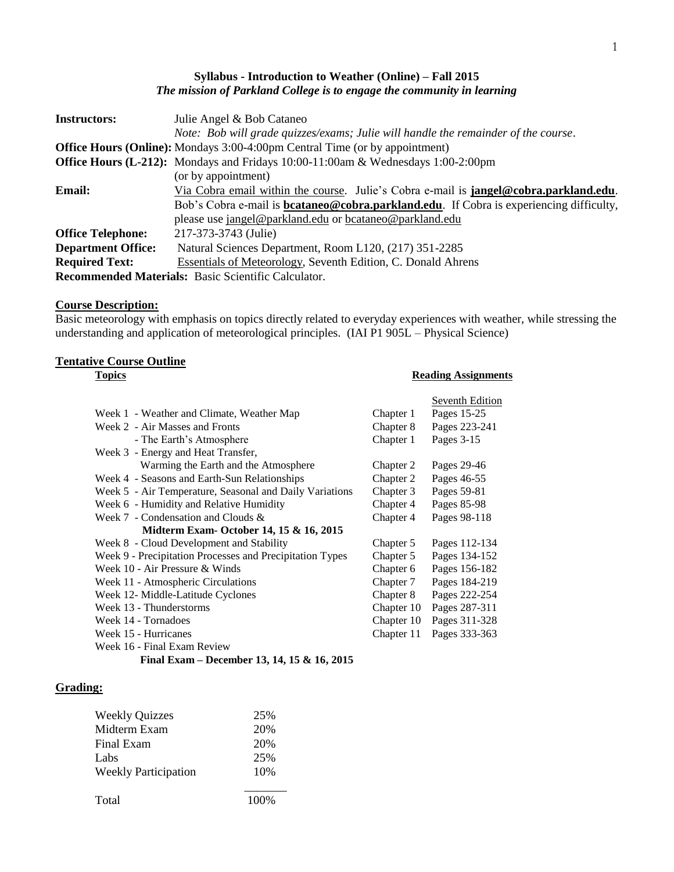# **Syllabus - Introduction to Weather (Online) – Fall 2015** *The mission of Parkland College is to engage the community in learning*

| <b>Instructors:</b>                                 | Julie Angel & Bob Cataneo                                                                       |  |
|-----------------------------------------------------|-------------------------------------------------------------------------------------------------|--|
|                                                     | Note: Bob will grade quizzes/exams; Julie will handle the remainder of the course.              |  |
|                                                     | <b>Office Hours (Online):</b> Mondays 3:00-4:00pm Central Time (or by appointment)              |  |
|                                                     | <b>Office Hours (L-212):</b> Mondays and Fridays 10:00-11:00am & Wednesdays 1:00-2:00pm         |  |
|                                                     | (or by appointment)                                                                             |  |
| Email:                                              | Via Cobra email within the course. Julie's Cobra e-mail is <b>jangel@cobra.parkland.edu</b> .   |  |
|                                                     | Bob's Cobra e-mail is <b>bcataneo@cobra.parkland.edu</b> . If Cobra is experiencing difficulty, |  |
|                                                     | please use jangel@parkland.edu or bcataneo@parkland.edu                                         |  |
| <b>Office Telephone:</b>                            | 217-373-3743 (Julie)                                                                            |  |
| <b>Department Office:</b>                           | Natural Sciences Department, Room L120, (217) 351-2285                                          |  |
| <b>Required Text:</b>                               | <b>Essentials of Meteorology, Seventh Edition, C. Donald Ahrens</b>                             |  |
| Recommended Materials: Basic Scientific Calculator. |                                                                                                 |  |

# **Course Description:**

Basic meteorology with emphasis on topics directly related to everyday experiences with weather, while stressing the understanding and application of meteorological principles. (IAI P1 905L – Physical Science)

# **Tentative Course Outline**

# **Topics Reading Assignments**

|                                             | Seventh Edition |  |  |
|---------------------------------------------|-----------------|--|--|
| Chapter 1                                   | Pages 15-25     |  |  |
| Chapter 8                                   | Pages 223-241   |  |  |
| Chapter 1                                   | Pages 3-15      |  |  |
|                                             |                 |  |  |
| Chapter 2                                   | Pages 29-46     |  |  |
| Chapter 2                                   | Pages 46-55     |  |  |
| Chapter 3                                   | Pages 59-81     |  |  |
| Chapter 4                                   | Pages 85-98     |  |  |
| Chapter 4                                   | Pages 98-118    |  |  |
|                                             |                 |  |  |
| Chapter 5                                   | Pages 112-134   |  |  |
| Chapter 5                                   | Pages 134-152   |  |  |
| Chapter 6                                   | Pages 156-182   |  |  |
| Chapter 7                                   | Pages 184-219   |  |  |
| Chapter 8                                   | Pages 222-254   |  |  |
| Chapter 10                                  | Pages 287-311   |  |  |
| Chapter 10                                  | Pages 311-328   |  |  |
| Chapter 11                                  | Pages 333-363   |  |  |
|                                             |                 |  |  |
| Final Exam – December 13, 14, 15 & 16, 2015 |                 |  |  |
|                                             |                 |  |  |

# **Grading:**

| <b>Weekly Quizzes</b>       | 25%  |
|-----------------------------|------|
| Midterm Exam                | 20%  |
| Final Exam                  | 20%  |
| Labs                        | 25%  |
| <b>Weekly Participation</b> | 10%  |
|                             |      |
| Total                       | 100% |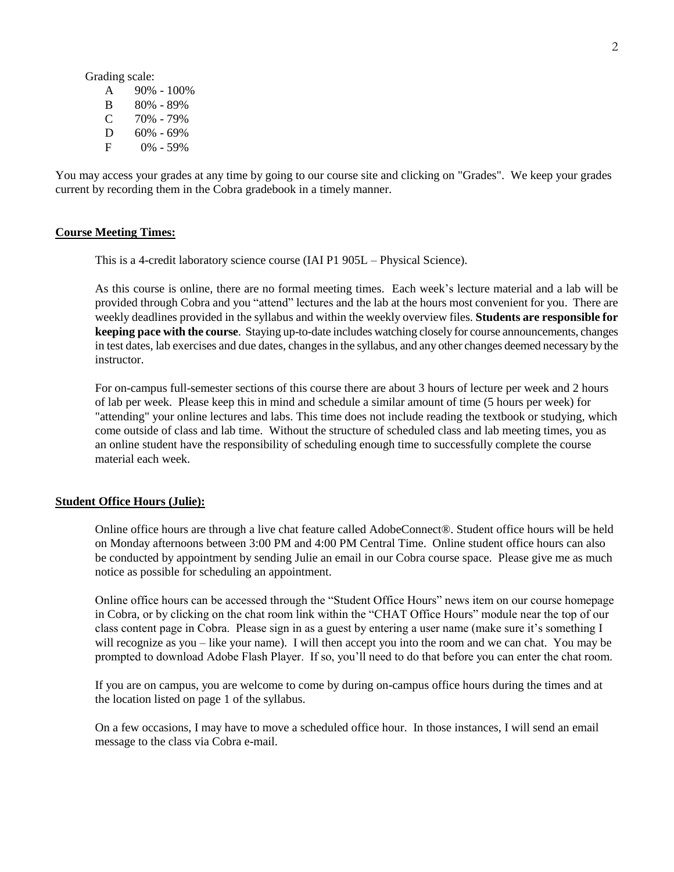Grading scale:

| A | 90% - 100%    |
|---|---------------|
| B | 80% - 89%     |
| C | 70% - 79%     |
| D | $60\% - 69\%$ |
| F | 0% - 59%      |

You may access your grades at any time by going to our course site and clicking on "Grades". We keep your grades current by recording them in the Cobra gradebook in a timely manner.

### **Course Meeting Times:**

This is a 4-credit laboratory science course (IAI P1 905L – Physical Science).

As this course is online, there are no formal meeting times. Each week's lecture material and a lab will be provided through Cobra and you "attend" lectures and the lab at the hours most convenient for you. There are weekly deadlines provided in the syllabus and within the weekly overview files. **Students are responsible for keeping pace with the course**. Staying up-to-date includes watching closely for course announcements, changes in test dates, lab exercises and due dates, changes in the syllabus, and any other changes deemed necessary by the instructor.

For on-campus full-semester sections of this course there are about 3 hours of lecture per week and 2 hours of lab per week. Please keep this in mind and schedule a similar amount of time (5 hours per week) for "attending" your online lectures and labs. This time does not include reading the textbook or studying, which come outside of class and lab time. Without the structure of scheduled class and lab meeting times, you as an online student have the responsibility of scheduling enough time to successfully complete the course material each week.

## **Student Office Hours (Julie):**

Online office hours are through a live chat feature called AdobeConnect®. Student office hours will be held on Monday afternoons between 3:00 PM and 4:00 PM Central Time. Online student office hours can also be conducted by appointment by sending Julie an email in our Cobra course space. Please give me as much notice as possible for scheduling an appointment.

Online office hours can be accessed through the "Student Office Hours" news item on our course homepage in Cobra, or by clicking on the chat room link within the "CHAT Office Hours" module near the top of our class content page in Cobra. Please sign in as a guest by entering a user name (make sure it's something I will recognize as you – like your name). I will then accept you into the room and we can chat. You may be prompted to download Adobe Flash Player. If so, you'll need to do that before you can enter the chat room.

If you are on campus, you are welcome to come by during on-campus office hours during the times and at the location listed on page 1 of the syllabus.

On a few occasions, I may have to move a scheduled office hour. In those instances, I will send an email message to the class via Cobra e-mail.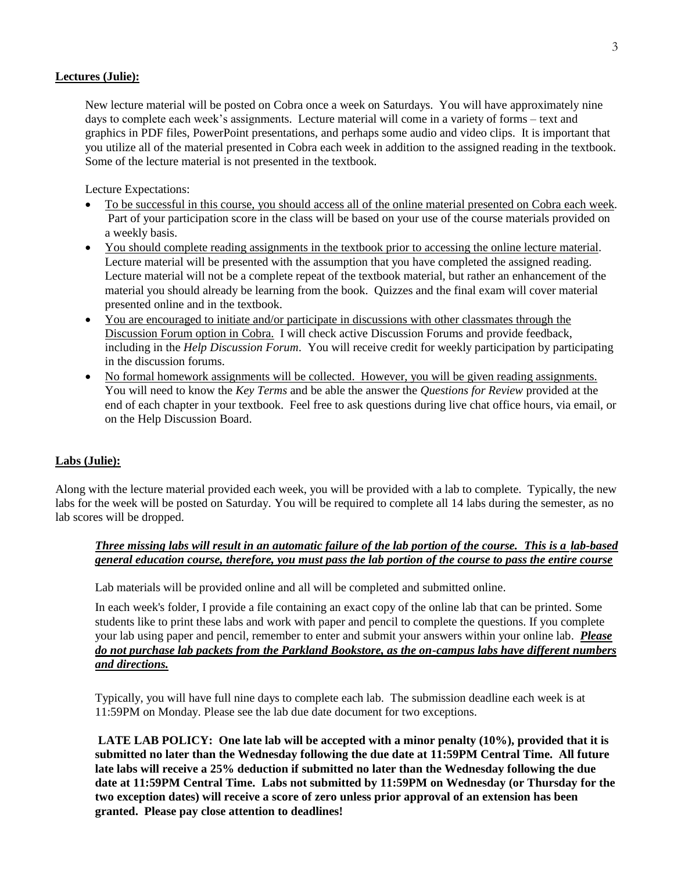# **Lectures (Julie):**

New lecture material will be posted on Cobra once a week on Saturdays. You will have approximately nine days to complete each week's assignments. Lecture material will come in a variety of forms – text and graphics in PDF files, PowerPoint presentations, and perhaps some audio and video clips. It is important that you utilize all of the material presented in Cobra each week in addition to the assigned reading in the textbook. Some of the lecture material is not presented in the textbook.

Lecture Expectations:

- To be successful in this course, you should access all of the online material presented on Cobra each week. Part of your participation score in the class will be based on your use of the course materials provided on a weekly basis.
- You should complete reading assignments in the textbook prior to accessing the online lecture material. Lecture material will be presented with the assumption that you have completed the assigned reading. Lecture material will not be a complete repeat of the textbook material, but rather an enhancement of the material you should already be learning from the book. Quizzes and the final exam will cover material presented online and in the textbook.
- You are encouraged to initiate and/or participate in discussions with other classmates through the Discussion Forum option in Cobra. I will check active Discussion Forums and provide feedback, including in the *Help Discussion Forum*. You will receive credit for weekly participation by participating in the discussion forums.
- No formal homework assignments will be collected. However, you will be given reading assignments. You will need to know the *Key Terms* and be able the answer the *Questions for Review* provided at the end of each chapter in your textbook. Feel free to ask questions during live chat office hours, via email, or on the Help Discussion Board.

# **Labs (Julie):**

Along with the lecture material provided each week, you will be provided with a lab to complete. Typically, the new labs for the week will be posted on Saturday. You will be required to complete all 14 labs during the semester, as no lab scores will be dropped.

# *Three missing labs will result in an automatic failure of the lab portion of the course. This is a lab-based general education course, therefore, you must pass the lab portion of the course to pass the entire course*

Lab materials will be provided online and all will be completed and submitted online.

In each week's folder, I provide a file containing an exact copy of the online lab that can be printed. Some students like to print these labs and work with paper and pencil to complete the questions. If you complete your lab using paper and pencil, remember to enter and submit your answers within your online lab. *Please do not purchase lab packets from the Parkland Bookstore, as the on-campus labs have different numbers and directions.*

Typically, you will have full nine days to complete each lab. The submission deadline each week is at 11:59PM on Monday. Please see the lab due date document for two exceptions.

**LATE LAB POLICY: One late lab will be accepted with a minor penalty (10%), provided that it is submitted no later than the Wednesday following the due date at 11:59PM Central Time. All future late labs will receive a 25% deduction if submitted no later than the Wednesday following the due date at 11:59PM Central Time. Labs not submitted by 11:59PM on Wednesday (or Thursday for the two exception dates) will receive a score of zero unless prior approval of an extension has been granted. Please pay close attention to deadlines!**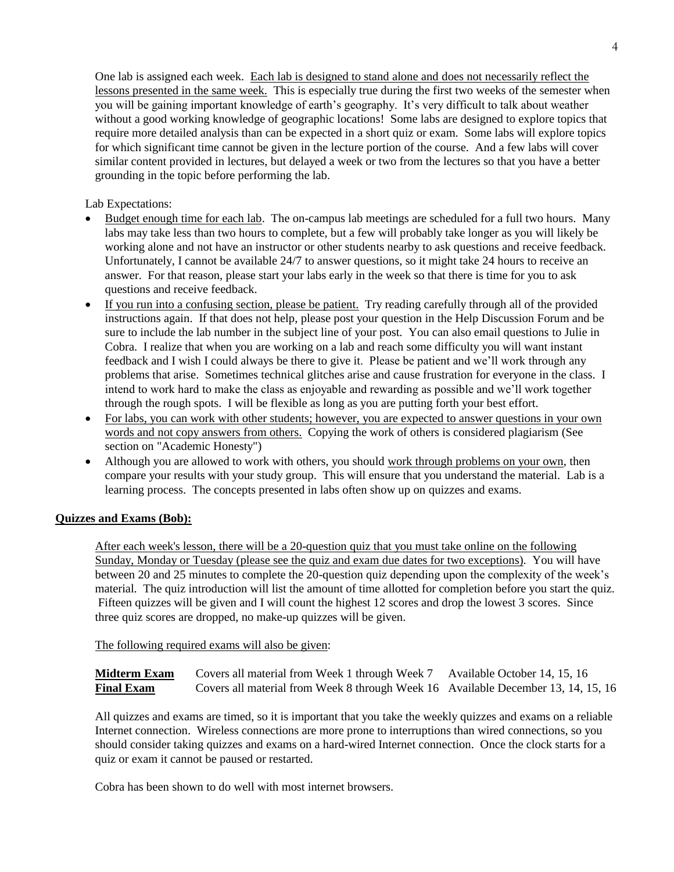One lab is assigned each week. Each lab is designed to stand alone and does not necessarily reflect the lessons presented in the same week. This is especially true during the first two weeks of the semester when you will be gaining important knowledge of earth's geography. It's very difficult to talk about weather without a good working knowledge of geographic locations! Some labs are designed to explore topics that require more detailed analysis than can be expected in a short quiz or exam. Some labs will explore topics for which significant time cannot be given in the lecture portion of the course. And a few labs will cover similar content provided in lectures, but delayed a week or two from the lectures so that you have a better grounding in the topic before performing the lab.

Lab Expectations:

- Budget enough time for each lab. The on-campus lab meetings are scheduled for a full two hours. Many labs may take less than two hours to complete, but a few will probably take longer as you will likely be working alone and not have an instructor or other students nearby to ask questions and receive feedback. Unfortunately, I cannot be available 24/7 to answer questions, so it might take 24 hours to receive an answer. For that reason, please start your labs early in the week so that there is time for you to ask questions and receive feedback.
- If you run into a confusing section, please be patient. Try reading carefully through all of the provided instructions again. If that does not help, please post your question in the Help Discussion Forum and be sure to include the lab number in the subject line of your post. You can also email questions to Julie in Cobra. I realize that when you are working on a lab and reach some difficulty you will want instant feedback and I wish I could always be there to give it. Please be patient and we'll work through any problems that arise. Sometimes technical glitches arise and cause frustration for everyone in the class. I intend to work hard to make the class as enjoyable and rewarding as possible and we'll work together through the rough spots. I will be flexible as long as you are putting forth your best effort.
- For labs, you can work with other students; however, you are expected to answer questions in your own words and not copy answers from others. Copying the work of others is considered plagiarism (See section on "Academic Honesty")
- Although you are allowed to work with others, you should work through problems on your own, then compare your results with your study group. This will ensure that you understand the material. Lab is a learning process. The concepts presented in labs often show up on quizzes and exams.

# **Quizzes and Exams (Bob):**

After each week's lesson, there will be a 20-question quiz that you must take online on the following Sunday, Monday or Tuesday (please see the quiz and exam due dates for two exceptions). You will have between 20 and 25 minutes to complete the 20-question quiz depending upon the complexity of the week's material. The quiz introduction will list the amount of time allotted for completion before you start the quiz. Fifteen quizzes will be given and I will count the highest 12 scores and drop the lowest 3 scores. Since three quiz scores are dropped, no make-up quizzes will be given.

The following required exams will also be given:

**Midterm Exam** Covers all material from Week 1 through Week 7 Available October 14, 15, 16 **Final Exam** Covers all material from Week 8 through Week 16 Available December 13, 14, 15, 16

All quizzes and exams are timed, so it is important that you take the weekly quizzes and exams on a reliable Internet connection. Wireless connections are more prone to interruptions than wired connections, so you should consider taking quizzes and exams on a hard-wired Internet connection. Once the clock starts for a quiz or exam it cannot be paused or restarted.

Cobra has been shown to do well with most internet browsers.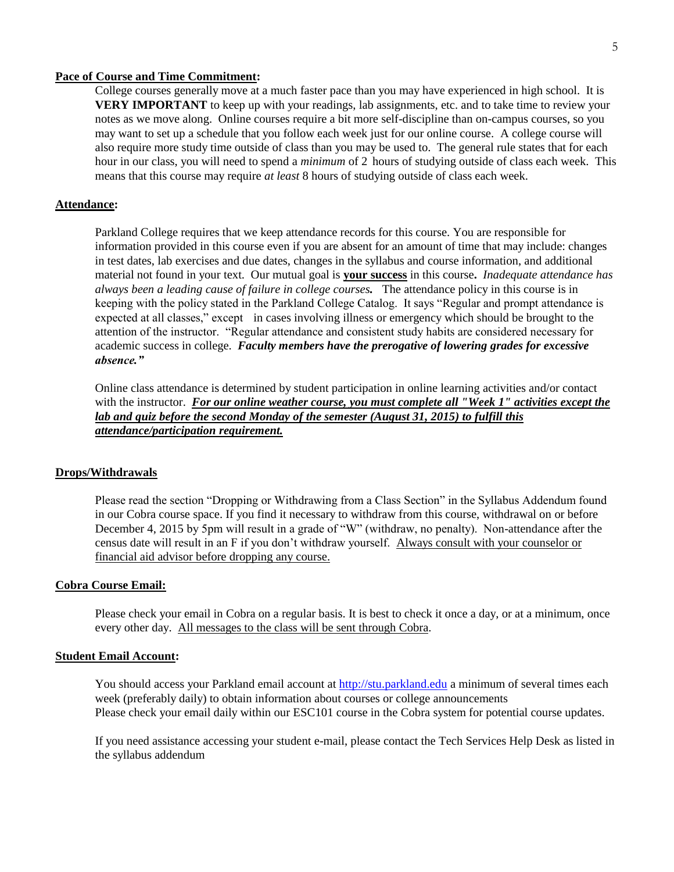## **Pace of Course and Time Commitment:**

College courses generally move at a much faster pace than you may have experienced in high school. It is **VERY IMPORTANT** to keep up with your readings, lab assignments, etc. and to take time to review your notes as we move along. Online courses require a bit more self-discipline than on-campus courses, so you may want to set up a schedule that you follow each week just for our online course. A college course will also require more study time outside of class than you may be used to. The general rule states that for each hour in our class, you will need to spend a *minimum* of 2 hours of studying outside of class each week. This means that this course may require *at least* 8 hours of studying outside of class each week.

## **Attendance:**

Parkland College requires that we keep attendance records for this course. You are responsible for information provided in this course even if you are absent for an amount of time that may include: changes in test dates, lab exercises and due dates, changes in the syllabus and course information, and additional material not found in your text. Our mutual goal is **your success** in this course**.** *Inadequate attendance has always been a leading cause of failure in college courses.* The attendance policy in this course is in keeping with the policy stated in the Parkland College Catalog. It says "Regular and prompt attendance is expected at all classes," except in cases involving illness or emergency which should be brought to the attention of the instructor. "Regular attendance and consistent study habits are considered necessary for academic success in college. *Faculty members have the prerogative of lowering grades for excessive absence."*

Online class attendance is determined by student participation in online learning activities and/or contact with the instructor. *For our online weather course, you must complete all "Week 1" activities except the lab and quiz before the second Monday of the semester (August 31, 2015) to fulfill this attendance/participation requirement.*

## **Drops/Withdrawals**

Please read the section "Dropping or Withdrawing from a Class Section" in the Syllabus Addendum found in our Cobra course space. If you find it necessary to withdraw from this course, withdrawal on or before December 4, 2015 by 5pm will result in a grade of "W" (withdraw, no penalty). Non-attendance after the census date will result in an F if you don't withdraw yourself. Always consult with your counselor or financial aid advisor before dropping any course.

## **Cobra Course Email:**

Please check your email in Cobra on a regular basis. It is best to check it once a day, or at a minimum, once every other day. All messages to the class will be sent through Cobra.

## **Student Email Account:**

You should access your Parkland email account at [http://stu.parkland.edu](http://stu.parkland.edu/) a minimum of several times each week (preferably daily) to obtain information about courses or college announcements Please check your email daily within our ESC101 course in the Cobra system for potential course updates.

If you need assistance accessing your student e-mail, please contact the Tech Services Help Desk as listed in the syllabus addendum